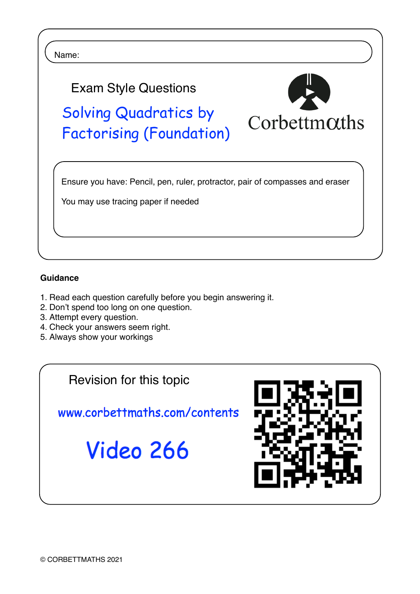

## **Guidance**

- 1. Read each question carefully before you begin answering it.
- 2. Don't spend too long on one question.
- 3. Attempt every question.
- 4. Check your answers seem right.
- 5. Always show your workings

Revision for this topic

www.corbettmaths.com/contents

Video 266

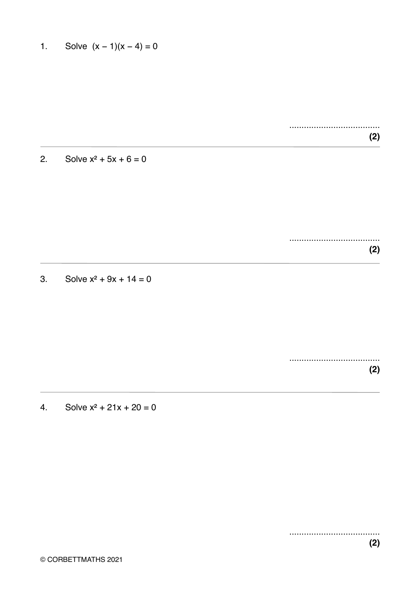Solve  $(x - 1)(x - 4) = 0$  $1.$ 

> $(2)$

 $2.$ Solve  $x^2$  + 5x + 6 = 0

> $(2)$

 $3.$ Solve  $x^2 + 9x + 14 = 0$ 

> ....................................  $(2)$

Solve  $x^2$  + 21x + 20 = 0 4.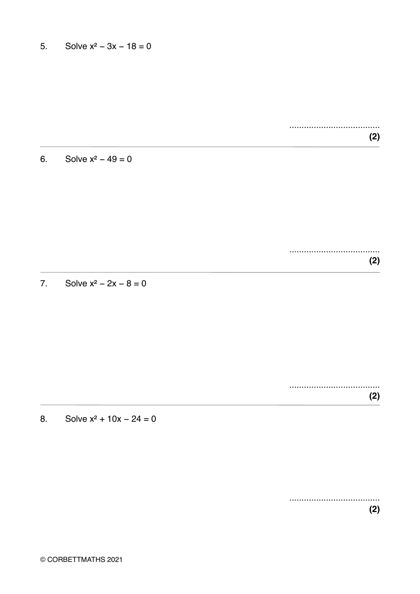$(2)$ 

Solve  $x^2 - 49 = 0$  $6.$ 

> $(2)$

Solve  $x^2 - 2x - 8 = 0$  $\overline{7}$ .

> $(2)$

Solve  $x^2$  + 10x - 24 = 0 8.

> ....................................  $(2)$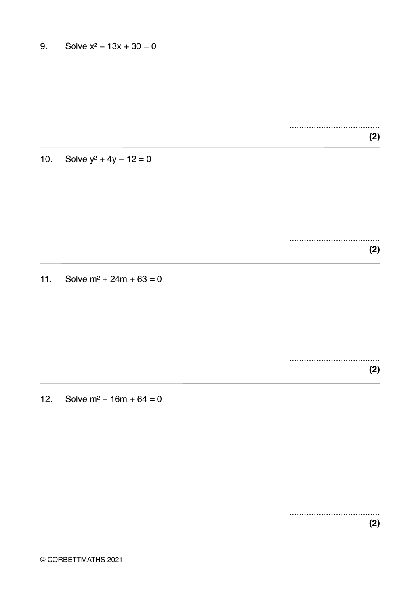..................................... **(2)**

10. Solve  $y^2 + 4y - 12 = 0$ 

..................................... **(2)**

11. Solve  $m^2 + 24m + 63 = 0$ 

..................................... **(2)**

12. Solve m² − 16m + 64 = 0

..................................... **(2)**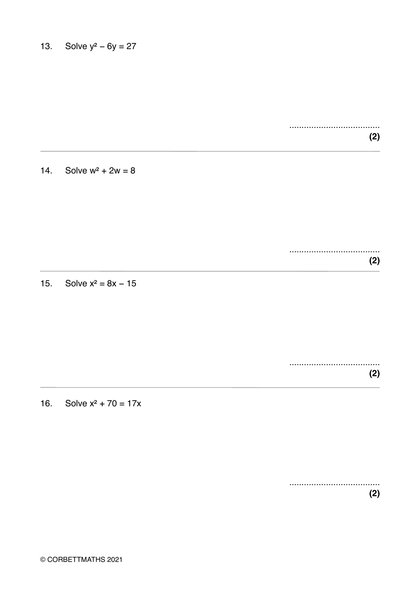$(2)$ 

Solve  $w^2 + 2w = 8$  $14.$ 

> ....................................  $(2)$

15. Solve  $x^2 = 8x - 15$ 

....................................  $(2)$ 

16. Solve  $x^2 + 70 = 17x$ 

 $(2)$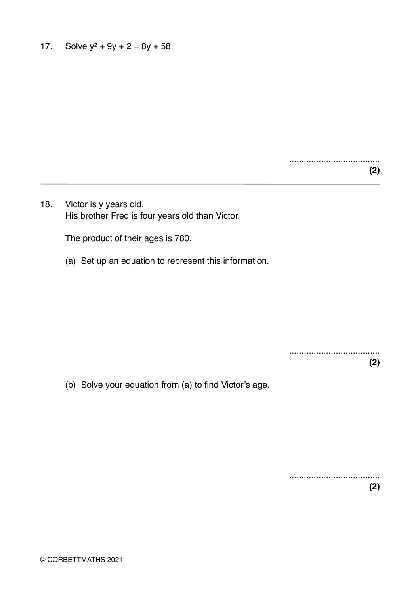..................................... **(2)**

18. Victor is y years old. His brother Fred is four years old than Victor.

The product of their ages is 780.

(a) Set up an equation to represent this information.

.....................................

**(2)**

(b) Solve your equation from (a) to find Victor's age.

..................................... **(2)**